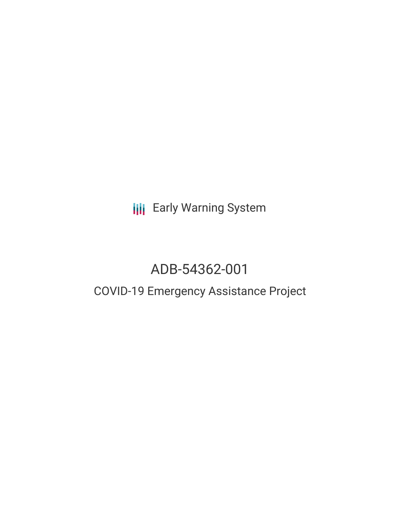**III** Early Warning System

# ADB-54362-001

## COVID-19 Emergency Assistance Project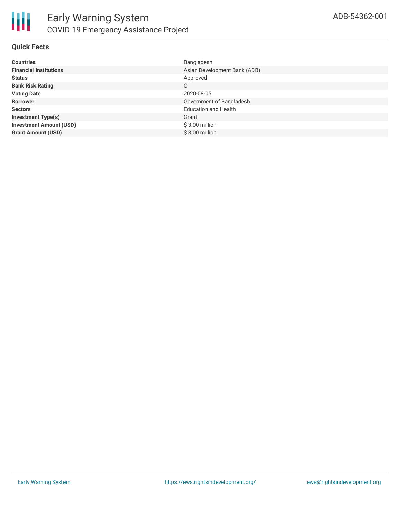

#### **Quick Facts**

| <b>Countries</b>               | Bangladesh                   |
|--------------------------------|------------------------------|
| <b>Financial Institutions</b>  | Asian Development Bank (ADB) |
| <b>Status</b>                  | Approved                     |
| <b>Bank Risk Rating</b>        | C                            |
| <b>Voting Date</b>             | 2020-08-05                   |
| <b>Borrower</b>                | Government of Bangladesh     |
| <b>Sectors</b>                 | <b>Education and Health</b>  |
| <b>Investment Type(s)</b>      | Grant                        |
| <b>Investment Amount (USD)</b> | $$3.00$ million              |
| <b>Grant Amount (USD)</b>      | \$3.00 million               |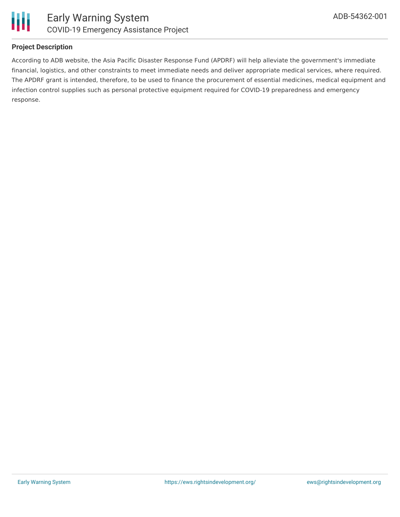

#### **Project Description**

According to ADB website, the Asia Pacific Disaster Response Fund (APDRF) will help alleviate the government's immediate financial, logistics, and other constraints to meet immediate needs and deliver appropriate medical services, where required. The APDRF grant is intended, therefore, to be used to finance the procurement of essential medicines, medical equipment and infection control supplies such as personal protective equipment required for COVID-19 preparedness and emergency response.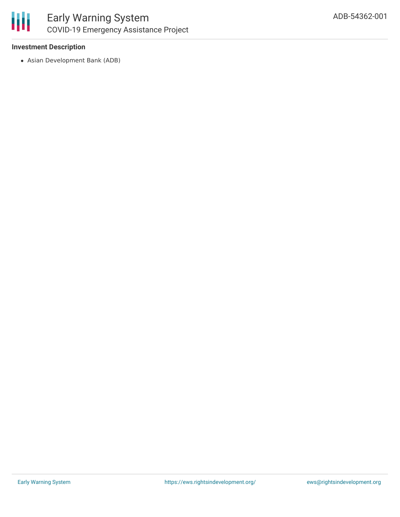

#### **Investment Description**

Asian Development Bank (ADB)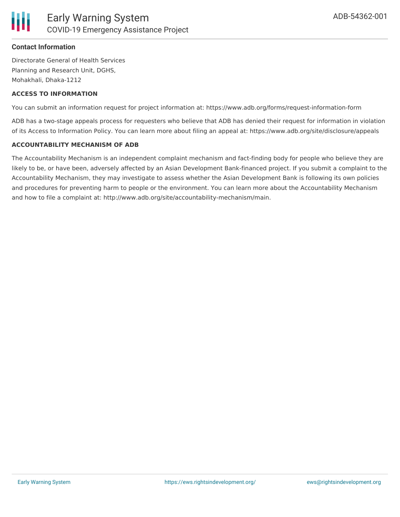

## **Contact Information**

Directorate General of Health Services Planning and Research Unit, DGHS, Mohakhali, Dhaka-1212

#### **ACCESS TO INFORMATION**

You can submit an information request for project information at: https://www.adb.org/forms/request-information-form

ADB has a two-stage appeals process for requesters who believe that ADB has denied their request for information in violation of its Access to Information Policy. You can learn more about filing an appeal at: https://www.adb.org/site/disclosure/appeals

### **ACCOUNTABILITY MECHANISM OF ADB**

The Accountability Mechanism is an independent complaint mechanism and fact-finding body for people who believe they are likely to be, or have been, adversely affected by an Asian Development Bank-financed project. If you submit a complaint to the Accountability Mechanism, they may investigate to assess whether the Asian Development Bank is following its own policies and procedures for preventing harm to people or the environment. You can learn more about the Accountability Mechanism and how to file a complaint at: http://www.adb.org/site/accountability-mechanism/main.